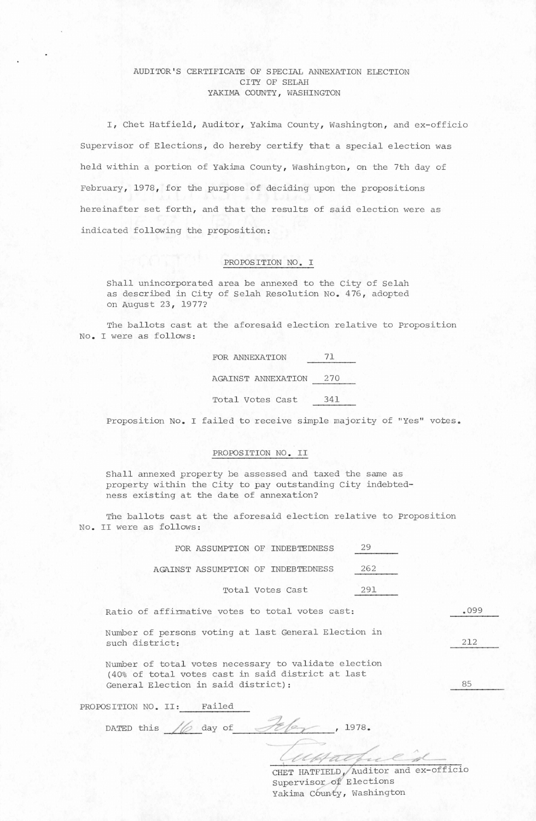## AUDITOR'S CERTIFICATE OF SPECIAL ANNEXATION ELFCTION CITY OF SELAH YAKIMA COUNTY, WASHINGTON

I, Chet Hatfield, Auditor, Yakima County, Washington, and ex-officio Supervisor of Elections, do hereby certify that a special election was held within a portion of Yakima County, Washington, on the 7th day of February, 1978, for the purpose of deciding upon the propositions hereinafter set forth, and that the results of said election were as indicated following the proposition:

## PROPOSITION NO. I

Shall unincorporated area be annexed to the City of Selah as described in City of Selah Resolution No. 476, adopted on August 23, 1977?

The ballots cast at the aforesaid election relative to Proposition No. I were as follows:

| FOR ANNEXATION     |     |
|--------------------|-----|
| AGAINST ANNEXATION | 270 |
| Total Votes Cast   | 341 |

Proposition No. I failed to receive simple majority of "Yes" votes.

## PROPOSITION NO. II

Shall annexed property be assessed and taxed the same as property within the City to pay outstanding City indebtedness existing at the date of annexation?

The ballots cast at the aforesaid election relative to Proposition No. II were as follows:

| 29<br>FOR ASSUMPTION OF INDEBTEDNESS                                                                                                             |      |
|--------------------------------------------------------------------------------------------------------------------------------------------------|------|
| 262<br>AGAINST ASSUMPTION OF INDEBTEDNESS                                                                                                        |      |
| 291<br>Total Votes Cast                                                                                                                          |      |
| Ratio of affirmative votes to total votes cast:                                                                                                  | .099 |
| Number of persons voting at last General Election in<br>such district:                                                                           | 212  |
| Number of total votes necessary to validate election<br>(40% of total votes cast in said district at last<br>General Election in said district): | 85   |
| Failed<br>PROPOSITION NO. II:                                                                                                                    |      |

DATED this  $/6$  day of  $\mathscr{L}/2$ , 1978.

CHET HATFIELD, Auditor and ex-officio Supervisor of Elections Yakima County, Washington

Montful fuel